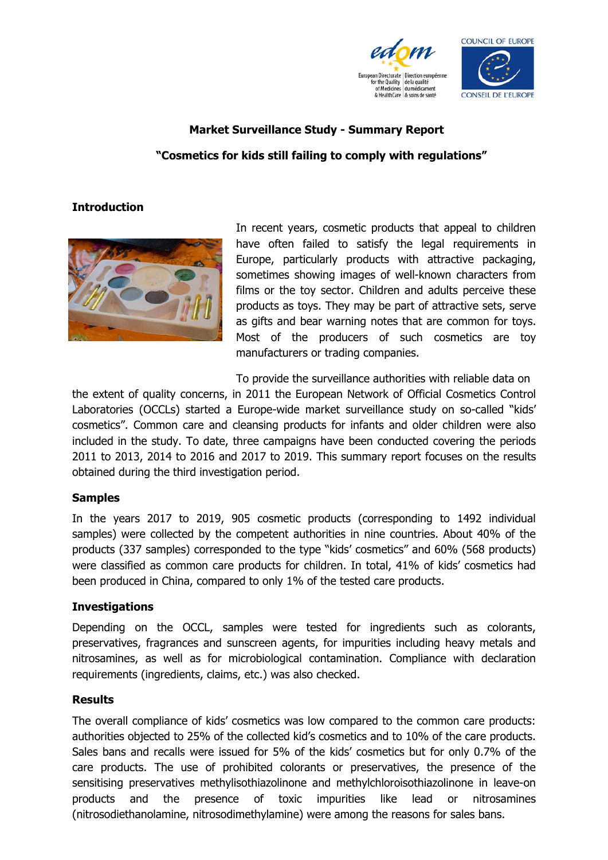



## **Market Surveillance Study - Summary Report**

# **"Cosmetics for kids still failing to comply with regulations"**

### **Introduction**



In recent years, cosmetic products that appeal to children have often failed to satisfy the legal requirements in Europe, particularly products with attractive packaging, sometimes showing images of well-known characters from films or the toy sector. Children and adults perceive these products as toys. They may be part of attractive sets, serve as gifts and bear warning notes that are common for toys. Most of the producers of such cosmetics are toy manufacturers or trading companies.

To provide the surveillance authorities with reliable data on

the extent of quality concerns, in 2011 the European Network of Official Cosmetics Control Laboratories (OCCLs) started a Europe-wide market surveillance study on so-called "kids' cosmetics". Common care and cleansing products for infants and older children were also included in the study. To date, three campaigns have been conducted covering the periods 2011 to 2013, 2014 to 2016 and 2017 to 2019. This summary report focuses on the results obtained during the third investigation period.

#### **Samples**

In the years 2017 to 2019, 905 cosmetic products (corresponding to 1492 individual samples) were collected by the competent authorities in nine countries. About 40% of the products (337 samples) corresponded to the type "kids' cosmetics" and 60% (568 products) were classified as common care products for children. In total, 41% of kids' cosmetics had been produced in China, compared to only 1% of the tested care products.

#### **Investigations**

Depending on the OCCL, samples were tested for ingredients such as colorants, preservatives, fragrances and sunscreen agents, for impurities including heavy metals and nitrosamines, as well as for microbiological contamination. Compliance with declaration requirements (ingredients, claims, etc.) was also checked.

#### **Results**

The overall compliance of kids' cosmetics was low compared to the common care products: authorities objected to 25% of the collected kid's cosmetics and to 10% of the care products. Sales bans and recalls were issued for 5% of the kids' cosmetics but for only 0.7% of the care products. The use of prohibited colorants or preservatives, the presence of the sensitising preservatives methylisothiazolinone and methylchloroisothiazolinone in leave-on products and the presence of toxic impurities like lead or nitrosamines (nitrosodiethanolamine, nitrosodimethylamine) were among the reasons for sales bans.